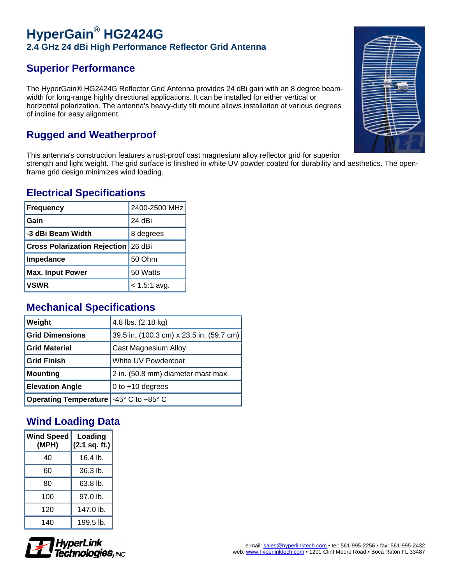# **HyperGain® HG2424G 2.4 GHz 24 dBi High Performance Reflector Grid Antenna**

## **Superior Performance**

The HyperGain® HG2424G Reflector Grid Antenna provides 24 dBi gain with an 8 degree beamwidth for long-range highly directional applications. It can be installed for either vertical or horizontal polarization. The antenna's heavy-duty tilt mount allows installation at various degrees of incline for easy alignment.

## **Rugged and Weatherproof**

This antenna's construction features a rust-proof cast magnesium alloy reflector grid for superior strength and light weight. The grid surface is finished in white UV powder coated for durability and aesthetics. The openframe grid design minimizes wind loading.

#### **Electrical Specifications**

| <b>Frequency</b>                           | 2400-2500 MHz  |
|--------------------------------------------|----------------|
| Gain                                       | 24 dBi         |
| -3 dBi Beam Width                          | 8 degrees      |
| <b>Cross Polarization Rejection 26 dBi</b> |                |
| Impedance                                  | 50 Ohm         |
| <b>Max. Input Power</b>                    | 50 Watts       |
| <b>VSWR</b>                                | $< 1.5:1$ avg. |

### **Mechanical Specifications**

| Weight                                                                                | 4.8 lbs. (2.18 kg)                       |
|---------------------------------------------------------------------------------------|------------------------------------------|
| <b>Grid Dimensions</b>                                                                | 39.5 in. (100.3 cm) x 23.5 in. (59.7 cm) |
| <b>Grid Material</b>                                                                  | Cast Magnesium Alloy                     |
| <b>Grid Finish</b>                                                                    | White UV Powdercoat                      |
| <b>Mounting</b>                                                                       | 2 in. (50.8 mm) diameter mast max.       |
| <b>Elevation Angle</b>                                                                | 0 to $+10$ degrees                       |
| <b>Operating Temperature <math>-45^{\circ}</math> C to <math>+85^{\circ}</math> C</b> |                                          |

### **Wind Loading Data**

| <b>Wind Speed</b><br>(MPH) | Loading<br>(2.1 sq. ft.) |
|----------------------------|--------------------------|
| 40                         | $16.4$ lb.               |
| 60                         | 36.3 lb.                 |
| 80                         | 63.8 lb.                 |
| 100                        | 97.0 lb.                 |
| 120                        | 147.0 lb.                |
| 140                        | 199.5 lb.                |



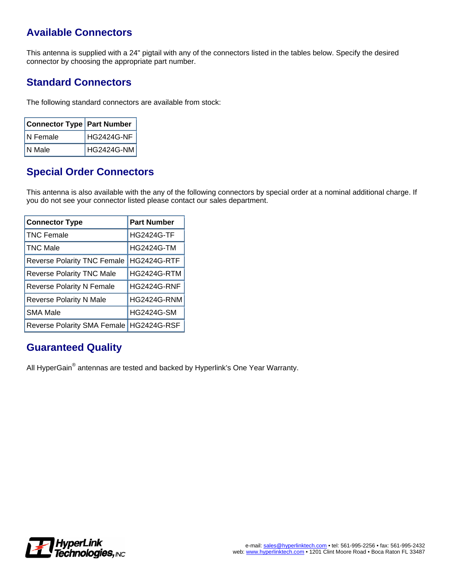### **Available Connectors**

This antenna is supplied with a 24" pigtail with any of the connectors listed in the tables below. Specify the desired connector by choosing the appropriate part number.

### **Standard Connectors**

The following standard connectors are available from stock:

| <b>Connector Type   Part Number</b> |            |
|-------------------------------------|------------|
| N Female                            | HG2424G-NF |
| IN Male                             | HG2424G-NM |

#### **Special Order Connectors**

This antenna is also available with the any of the following connectors by special order at a nominal additional charge. If you do not see your connector listed please contact our sales department.

| <b>Connector Type</b>              | <b>Part Number</b> |
|------------------------------------|--------------------|
| <b>TNC Female</b>                  | <b>HG2424G-TF</b>  |
| <b>TNC Male</b>                    | <b>HG2424G-TM</b>  |
| <b>Reverse Polarity TNC Female</b> | <b>HG2424G-RTF</b> |
| <b>Reverse Polarity TNC Male</b>   | <b>HG2424G-RTM</b> |
| <b>Reverse Polarity N Female</b>   | <b>HG2424G-RNF</b> |
| <b>Reverse Polarity N Male</b>     | <b>HG2424G-RNM</b> |
| <b>SMA Male</b>                    | <b>HG2424G-SM</b>  |
| <b>Reverse Polarity SMA Female</b> | <b>HG2424G-RSF</b> |

#### **Guaranteed Quality**

All HyperGain® antennas are tested and backed by Hyperlink's One Year Warranty.

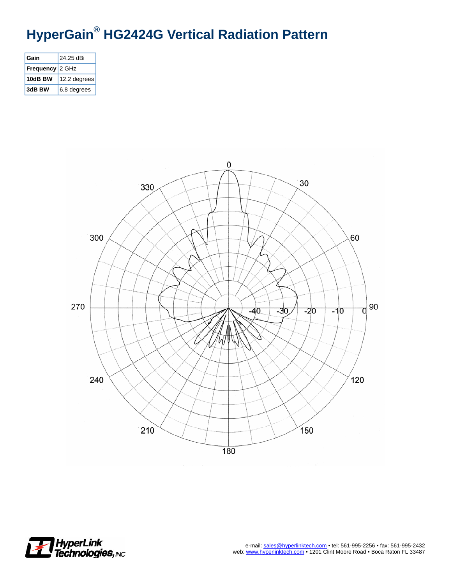# **HyperGain® HG2424G Vertical Radiation Pattern**

| Gain             | 24.25 dBi    |
|------------------|--------------|
| <b>Frequency</b> | 2 GHz        |
| 10dB BW          | 12.2 degrees |
| 3dB BW           | 6.8 degrees  |